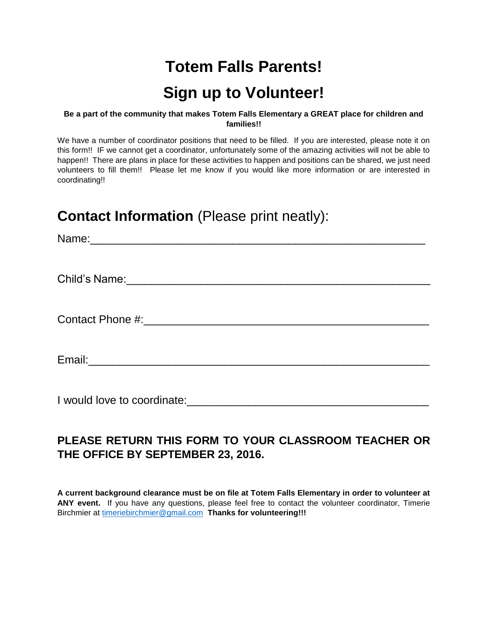# **Totem Falls Parents! Sign up to Volunteer!**

#### **Be a part of the community that makes Totem Falls Elementary a GREAT place for children and families!!**

We have a number of coordinator positions that need to be filled. If you are interested, please note it on this form!! IF we cannot get a coordinator, unfortunately some of the amazing activities will not be able to happen!! There are plans in place for these activities to happen and positions can be shared, we just need volunteers to fill them!! Please let me know if you would like more information or are interested in coordinating!!

## **Contact Information** (Please print neatly):

Name:\_\_\_\_\_\_\_\_\_\_\_\_\_\_\_\_\_\_\_\_\_\_\_\_\_\_\_\_\_\_\_\_\_\_\_\_\_\_\_\_\_\_\_\_\_\_\_\_\_\_\_\_\_\_

Child's Name: with the control of the control of the control of the control of the control of the control of the control of the control of the control of the control of the control of the control of the control of the cont

Contact Phone #:\_\_\_\_\_\_\_\_\_\_\_\_\_\_\_\_\_\_\_\_\_\_\_\_\_\_\_\_\_\_\_\_\_\_\_\_\_\_\_\_\_\_\_\_\_\_

Email:\_\_\_\_\_\_\_\_\_\_\_\_\_\_\_\_\_\_\_\_\_\_\_\_\_\_\_\_\_\_\_\_\_\_\_\_\_\_\_\_\_\_\_\_\_\_\_\_\_\_\_\_\_\_\_

I would love to coordinate: example of the state of the state of the state of the state of the state of the state of the state of the state of the state of the state of the state of the state of the state of the state of t

### **PLEASE RETURN THIS FORM TO YOUR CLASSROOM TEACHER OR THE OFFICE BY SEPTEMBER 23, 2016.**

**A current background clearance must be on file at Totem Falls Elementary in order to volunteer at ANY event.** If you have any questions, please feel free to contact the volunteer coordinator, Timerie Birchmier at [timeriebirchmier@gmail.com](mailto:timeriebirchmier@gmail.com) **Thanks for volunteering!!!**